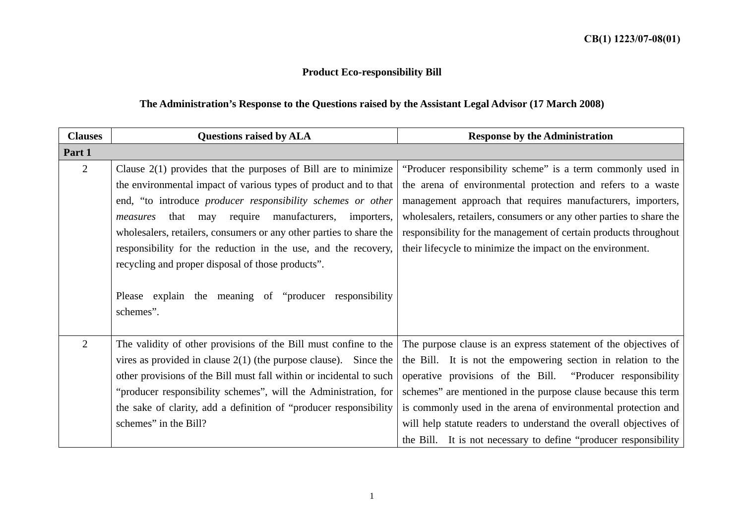## **Product Eco-responsibility Bill**

## **The Administration's Response to the Questions raised by the Assistant Legal Advisor (17 March 2008)**

| <b>Clauses</b> | <b>Questions raised by ALA</b>                                      | <b>Response by the Administration</b>                               |
|----------------|---------------------------------------------------------------------|---------------------------------------------------------------------|
| Part 1         |                                                                     |                                                                     |
| $\overline{2}$ | Clause $2(1)$ provides that the purposes of Bill are to minimize    | "Producer responsibility scheme" is a term commonly used in         |
|                | the environmental impact of various types of product and to that    | the arena of environmental protection and refers to a waste         |
|                | end, "to introduce producer responsibility schemes or other         | management approach that requires manufacturers, importers,         |
|                | require manufacturers, importers,<br>that may<br>measures           | wholesalers, retailers, consumers or any other parties to share the |
|                | wholesalers, retailers, consumers or any other parties to share the | responsibility for the management of certain products throughout    |
|                | responsibility for the reduction in the use, and the recovery,      | their lifecycle to minimize the impact on the environment.          |
|                | recycling and proper disposal of those products".                   |                                                                     |
|                |                                                                     |                                                                     |
|                | Please explain the meaning of "producer responsibility"             |                                                                     |
|                | schemes".                                                           |                                                                     |
|                |                                                                     |                                                                     |
| $\overline{2}$ | The validity of other provisions of the Bill must confine to the    | The purpose clause is an express statement of the objectives of     |
|                | vires as provided in clause $2(1)$ (the purpose clause). Since the  | the Bill. It is not the empowering section in relation to the       |
|                | other provisions of the Bill must fall within or incidental to such | operative provisions of the Bill. "Producer responsibility          |
|                | "producer responsibility schemes", will the Administration, for     | schemes" are mentioned in the purpose clause because this term      |
|                | the sake of clarity, add a definition of "producer responsibility"  | is commonly used in the arena of environmental protection and       |
|                | schemes" in the Bill?                                               | will help statute readers to understand the overall objectives of   |
|                |                                                                     | the Bill. It is not necessary to define "producer responsibility"   |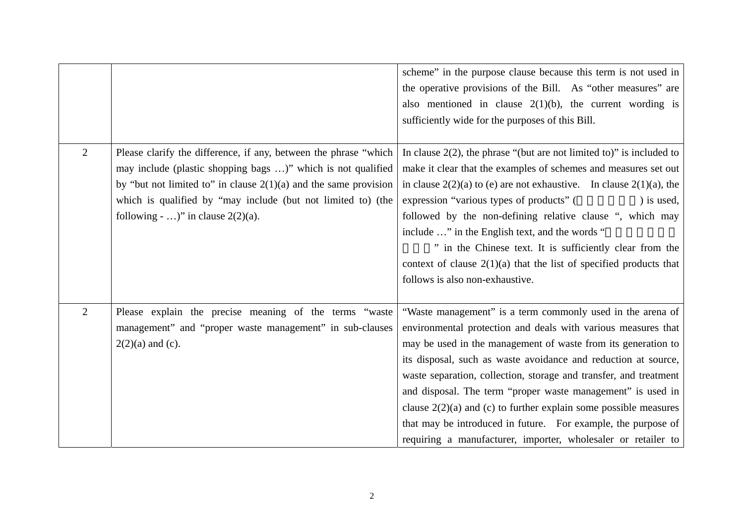|                |                                                                    | scheme" in the purpose clause because this term is not used in           |
|----------------|--------------------------------------------------------------------|--------------------------------------------------------------------------|
|                |                                                                    | the operative provisions of the Bill. As "other measures" are            |
|                |                                                                    | also mentioned in clause $2(1)(b)$ , the current wording is              |
|                |                                                                    | sufficiently wide for the purposes of this Bill.                         |
|                |                                                                    |                                                                          |
| $\overline{2}$ | Please clarify the difference, if any, between the phrase "which   | In clause $2(2)$ , the phrase "(but are not limited to)" is included to  |
|                | may include (plastic shopping bags )" which is not qualified       | make it clear that the examples of schemes and measures set out          |
|                | by "but not limited to" in clause $2(1)(a)$ and the same provision | in clause $2(2)(a)$ to (e) are not exhaustive. In clause $2(1)(a)$ , the |
|                | which is qualified by "may include (but not limited to) (the       | expression "various types of products" (<br>) is used,                   |
|                | following - )" in clause $2(2)(a)$ .                               | followed by the non-defining relative clause ", which may                |
|                |                                                                    | include " in the English text, and the words "                           |
|                |                                                                    | " in the Chinese text. It is sufficiently clear from the                 |
|                |                                                                    | context of clause $2(1)(a)$ that the list of specified products that     |
|                |                                                                    | follows is also non-exhaustive.                                          |
|                |                                                                    |                                                                          |
| $\overline{2}$ | Please explain the precise meaning of the terms "waste             | "Waste management" is a term commonly used in the arena of               |
|                | management" and "proper waste management" in sub-clauses           | environmental protection and deals with various measures that            |
|                | $2(2)(a)$ and (c).                                                 | may be used in the management of waste from its generation to            |
|                |                                                                    | its disposal, such as waste avoidance and reduction at source,           |
|                |                                                                    | waste separation, collection, storage and transfer, and treatment        |
|                |                                                                    | and disposal. The term "proper waste management" is used in              |
|                |                                                                    | clause $2(2)(a)$ and (c) to further explain some possible measures       |
|                |                                                                    | that may be introduced in future. For example, the purpose of            |
|                |                                                                    | requiring a manufacturer, importer, wholesaler or retailer to            |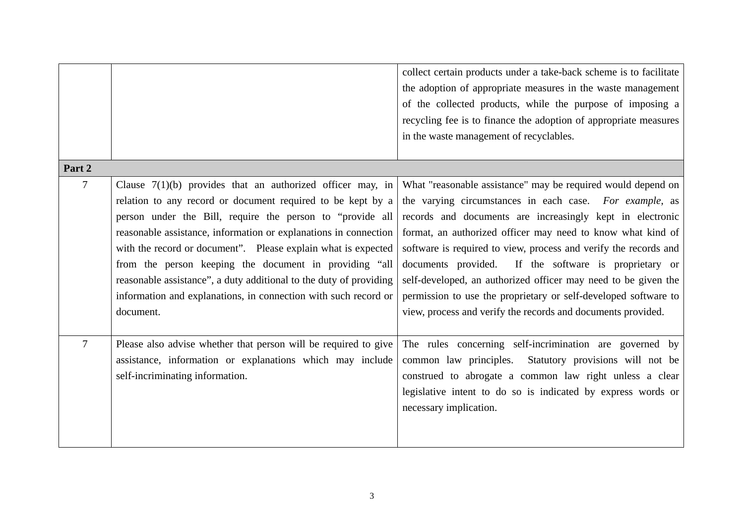|                |                                                                    | collect certain products under a take-back scheme is to facilitate |
|----------------|--------------------------------------------------------------------|--------------------------------------------------------------------|
|                |                                                                    | the adoption of appropriate measures in the waste management       |
|                |                                                                    | of the collected products, while the purpose of imposing a         |
|                |                                                                    | recycling fee is to finance the adoption of appropriate measures   |
|                |                                                                    | in the waste management of recyclables.                            |
|                |                                                                    |                                                                    |
| Part 2         |                                                                    |                                                                    |
| $\overline{7}$ | Clause $7(1)(b)$ provides that an authorized officer may, in       | What "reasonable assistance" may be required would depend on       |
|                | relation to any record or document required to be kept by a        | the varying circumstances in each case. For example, as            |
|                | person under the Bill, require the person to "provide all          | records and documents are increasingly kept in electronic          |
|                | reasonable assistance, information or explanations in connection   | format, an authorized officer may need to know what kind of        |
|                | with the record or document". Please explain what is expected      | software is required to view, process and verify the records and   |
|                | from the person keeping the document in providing "all             | If the software is proprietary or<br>documents provided.           |
|                | reasonable assistance", a duty additional to the duty of providing | self-developed, an authorized officer may need to be given the     |
|                | information and explanations, in connection with such record or    | permission to use the proprietary or self-developed software to    |
|                | document.                                                          | view, process and verify the records and documents provided.       |
|                |                                                                    |                                                                    |
| $\overline{7}$ | Please also advise whether that person will be required to give    | The rules concerning self-incrimination are governed by            |
|                | assistance, information or explanations which may include          | common law principles.<br>Statutory provisions will not be         |
|                | self-incriminating information.                                    | construed to abrogate a common law right unless a clear            |
|                |                                                                    | legislative intent to do so is indicated by express words or       |
|                |                                                                    | necessary implication.                                             |
|                |                                                                    |                                                                    |
|                |                                                                    |                                                                    |
|                |                                                                    |                                                                    |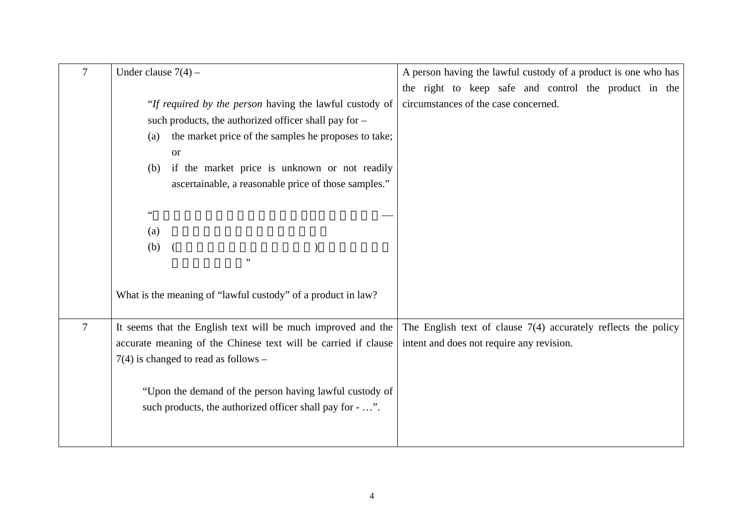| $\tau$         | Under clause $7(4)$ –                                          | A person having the lawful custody of a product is one who has   |
|----------------|----------------------------------------------------------------|------------------------------------------------------------------|
|                |                                                                | the right to keep safe and control the product in the            |
|                | "If required by the person having the lawful custody of        | circumstances of the case concerned.                             |
|                | such products, the authorized officer shall pay for -          |                                                                  |
|                | the market price of the samples he proposes to take;<br>(a)    |                                                                  |
|                | <b>or</b>                                                      |                                                                  |
|                | if the market price is unknown or not readily<br>(b)           |                                                                  |
|                | ascertainable, a reasonable price of those samples."           |                                                                  |
|                |                                                                |                                                                  |
|                | $\zeta$ $\zeta$                                                |                                                                  |
|                | (a)                                                            |                                                                  |
|                | (b)                                                            |                                                                  |
|                | , ,                                                            |                                                                  |
|                |                                                                |                                                                  |
|                | What is the meaning of "lawful custody" of a product in law?   |                                                                  |
|                |                                                                |                                                                  |
| $\overline{7}$ | It seems that the English text will be much improved and the   | The English text of clause $7(4)$ accurately reflects the policy |
|                | accurate meaning of the Chinese text will be carried if clause | intent and does not require any revision.                        |
|                | $7(4)$ is changed to read as follows –                         |                                                                  |
|                |                                                                |                                                                  |
|                | "Upon the demand of the person having lawful custody of        |                                                                  |
|                | such products, the authorized officer shall pay for - ".       |                                                                  |
|                |                                                                |                                                                  |
|                |                                                                |                                                                  |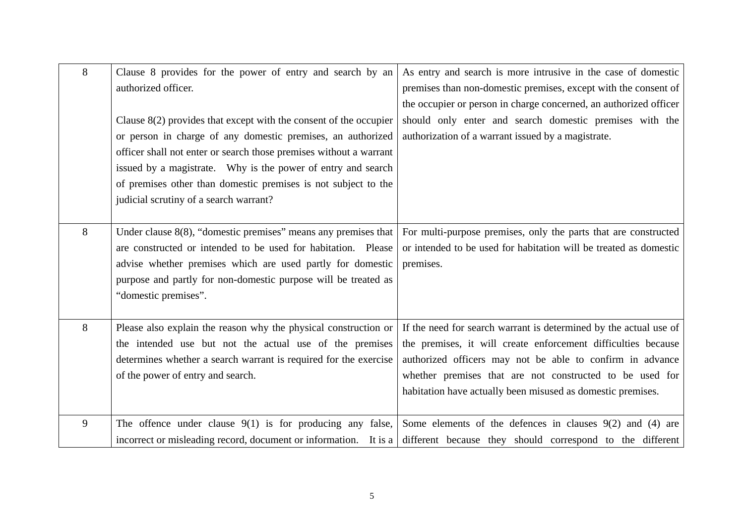| 8 | Clause 8 provides for the power of entry and search by an           | As entry and search is more intrusive in the case of domestic                                                              |
|---|---------------------------------------------------------------------|----------------------------------------------------------------------------------------------------------------------------|
|   | authorized officer.                                                 | premises than non-domestic premises, except with the consent of                                                            |
|   |                                                                     | the occupier or person in charge concerned, an authorized officer                                                          |
|   | Clause $8(2)$ provides that except with the consent of the occupier | should only enter and search domestic premises with the                                                                    |
|   | or person in charge of any domestic premises, an authorized         | authorization of a warrant issued by a magistrate.                                                                         |
|   | officer shall not enter or search those premises without a warrant  |                                                                                                                            |
|   | issued by a magistrate. Why is the power of entry and search        |                                                                                                                            |
|   | of premises other than domestic premises is not subject to the      |                                                                                                                            |
|   | judicial scrutiny of a search warrant?                              |                                                                                                                            |
|   |                                                                     |                                                                                                                            |
| 8 | Under clause $8(8)$ , "domestic premises" means any premises that   | For multi-purpose premises, only the parts that are constructed                                                            |
|   | are constructed or intended to be used for habitation. Please       | or intended to be used for habitation will be treated as domestic                                                          |
|   | advise whether premises which are used partly for domestic          | premises.                                                                                                                  |
|   | purpose and partly for non-domestic purpose will be treated as      |                                                                                                                            |
|   | "domestic premises".                                                |                                                                                                                            |
|   |                                                                     |                                                                                                                            |
| 8 | Please also explain the reason why the physical construction or     | If the need for search warrant is determined by the actual use of                                                          |
|   | the intended use but not the actual use of the premises             | the premises, it will create enforcement difficulties because                                                              |
|   | determines whether a search warrant is required for the exercise    | authorized officers may not be able to confirm in advance                                                                  |
|   | of the power of entry and search.                                   | whether premises that are not constructed to be used for                                                                   |
|   |                                                                     | habitation have actually been misused as domestic premises.                                                                |
|   |                                                                     |                                                                                                                            |
| 9 | The offence under clause $9(1)$ is for producing any false,         | Some elements of the defences in clauses $9(2)$ and $(4)$ are                                                              |
|   |                                                                     | incorrect or misleading record, document or information. It is a different because they should correspond to the different |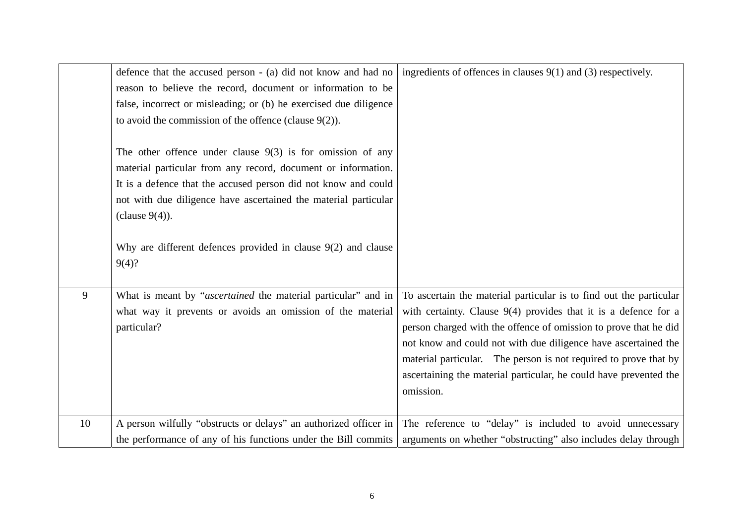|    | defence that the accused person - (a) did not know and had no                                                                                                                                                                                                                                                                                              | ingredients of offences in clauses $9(1)$ and (3) respectively.                                                                                                                                                                                                                                                                                                                                                                     |
|----|------------------------------------------------------------------------------------------------------------------------------------------------------------------------------------------------------------------------------------------------------------------------------------------------------------------------------------------------------------|-------------------------------------------------------------------------------------------------------------------------------------------------------------------------------------------------------------------------------------------------------------------------------------------------------------------------------------------------------------------------------------------------------------------------------------|
|    | reason to believe the record, document or information to be                                                                                                                                                                                                                                                                                                |                                                                                                                                                                                                                                                                                                                                                                                                                                     |
|    | false, incorrect or misleading; or (b) he exercised due diligence                                                                                                                                                                                                                                                                                          |                                                                                                                                                                                                                                                                                                                                                                                                                                     |
|    | to avoid the commission of the offence (clause $9(2)$ ).                                                                                                                                                                                                                                                                                                   |                                                                                                                                                                                                                                                                                                                                                                                                                                     |
|    | The other offence under clause $9(3)$ is for omission of any<br>material particular from any record, document or information.<br>It is a defence that the accused person did not know and could<br>not with due diligence have ascertained the material particular<br>(clause $9(4)$ ).<br>Why are different defences provided in clause $9(2)$ and clause |                                                                                                                                                                                                                                                                                                                                                                                                                                     |
|    | 9(4)?                                                                                                                                                                                                                                                                                                                                                      |                                                                                                                                                                                                                                                                                                                                                                                                                                     |
| 9  | What is meant by "ascertained the material particular" and in<br>what way it prevents or avoids an omission of the material<br>particular?                                                                                                                                                                                                                 | To ascertain the material particular is to find out the particular<br>with certainty. Clause $9(4)$ provides that it is a defence for a<br>person charged with the offence of omission to prove that he did<br>not know and could not with due diligence have ascertained the<br>material particular. The person is not required to prove that by<br>ascertaining the material particular, he could have prevented the<br>omission. |
| 10 | A person wilfully "obstructs or delays" an authorized officer in                                                                                                                                                                                                                                                                                           | The reference to "delay" is included to avoid unnecessary                                                                                                                                                                                                                                                                                                                                                                           |
|    | the performance of any of his functions under the Bill commits                                                                                                                                                                                                                                                                                             | arguments on whether "obstructing" also includes delay through                                                                                                                                                                                                                                                                                                                                                                      |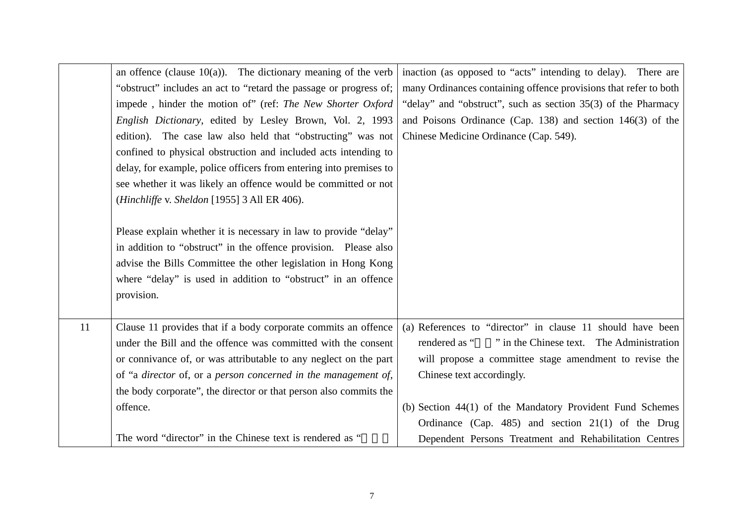|    | an offence (clause $10(a)$ ). The dictionary meaning of the verb   | inaction (as opposed to "acts" intending to delay). There are    |
|----|--------------------------------------------------------------------|------------------------------------------------------------------|
|    | "obstruct" includes an act to "retard the passage or progress of;  | many Ordinances containing offence provisions that refer to both |
|    | impede, hinder the motion of" (ref: The New Shorter Oxford         | "delay" and "obstruct", such as section 35(3) of the Pharmacy    |
|    | English Dictionary, edited by Lesley Brown, Vol. 2, 1993           | and Poisons Ordinance (Cap. 138) and section $146(3)$ of the     |
|    | edition). The case law also held that "obstructing" was not        | Chinese Medicine Ordinance (Cap. 549).                           |
|    | confined to physical obstruction and included acts intending to    |                                                                  |
|    | delay, for example, police officers from entering into premises to |                                                                  |
|    | see whether it was likely an offence would be committed or not     |                                                                  |
|    | (Hinchliffe v. Sheldon [1955] 3 All ER 406).                       |                                                                  |
|    |                                                                    |                                                                  |
|    | Please explain whether it is necessary in law to provide "delay"   |                                                                  |
|    | in addition to "obstruct" in the offence provision. Please also    |                                                                  |
|    | advise the Bills Committee the other legislation in Hong Kong      |                                                                  |
|    | where "delay" is used in addition to "obstruct" in an offence      |                                                                  |
|    | provision.                                                         |                                                                  |
|    |                                                                    |                                                                  |
| 11 | Clause 11 provides that if a body corporate commits an offence     | (a) References to "director" in clause 11 should have been       |
|    | under the Bill and the offence was committed with the consent      | " in the Chinese text. The Administration<br>rendered as "       |
|    | or connivance of, or was attributable to any neglect on the part   | will propose a committee stage amendment to revise the           |
|    | of "a director of, or a person concerned in the management of,     | Chinese text accordingly.                                        |
|    | the body corporate", the director or that person also commits the  |                                                                  |
|    | offence.                                                           | (b) Section 44(1) of the Mandatory Provident Fund Schemes        |
|    |                                                                    | Ordinance (Cap. 485) and section 21(1) of the Drug               |
|    | The word "director" in the Chinese text is rendered as "           | Dependent Persons Treatment and Rehabilitation Centres           |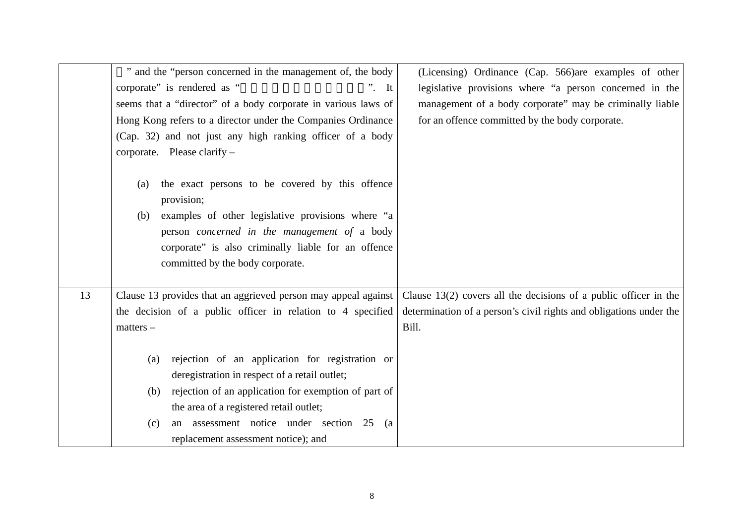|    | " and the "person concerned in the management of, the body                                                                                                                                                                                                                                                  | (Licensing) Ordinance (Cap. 566) are examples of other             |
|----|-------------------------------------------------------------------------------------------------------------------------------------------------------------------------------------------------------------------------------------------------------------------------------------------------------------|--------------------------------------------------------------------|
|    | corporate" is rendered as "<br>$\overline{\phantom{a}}$ . It                                                                                                                                                                                                                                                | legislative provisions where "a person concerned in the            |
|    | seems that a "director" of a body corporate in various laws of                                                                                                                                                                                                                                              | management of a body corporate" may be criminally liable           |
|    | Hong Kong refers to a director under the Companies Ordinance                                                                                                                                                                                                                                                | for an offence committed by the body corporate.                    |
|    | (Cap. 32) and not just any high ranking officer of a body                                                                                                                                                                                                                                                   |                                                                    |
|    | corporate. Please clarify $-$                                                                                                                                                                                                                                                                               |                                                                    |
|    | the exact persons to be covered by this offence<br>(a)<br>provision;<br>examples of other legislative provisions where "a<br>(b)<br>person concerned in the management of a body<br>corporate" is also criminally liable for an offence<br>committed by the body corporate.                                 |                                                                    |
| 13 | Clause 13 provides that an aggrieved person may appeal against                                                                                                                                                                                                                                              | Clause $13(2)$ covers all the decisions of a public officer in the |
|    | the decision of a public officer in relation to 4 specified                                                                                                                                                                                                                                                 | determination of a person's civil rights and obligations under the |
|    | $matters -$                                                                                                                                                                                                                                                                                                 | Bill.                                                              |
|    | rejection of an application for registration or<br>(a)<br>deregistration in respect of a retail outlet;<br>(b) rejection of an application for exemption of part of<br>the area of a registered retail outlet;<br>an assessment notice under section 25<br>(c)<br>(a<br>replacement assessment notice); and |                                                                    |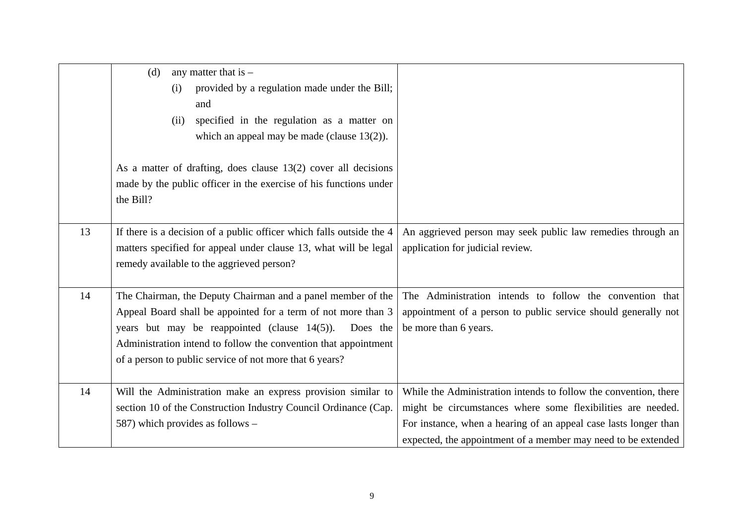|    | any matter that is $-$<br>(d)<br>provided by a regulation made under the Bill;<br>(i)<br>and<br>specified in the regulation as a matter on<br>(ii)<br>which an appeal may be made (clause $13(2)$ ).                                                                                                                      |                                                                                                                                                                                                                                                                      |
|----|---------------------------------------------------------------------------------------------------------------------------------------------------------------------------------------------------------------------------------------------------------------------------------------------------------------------------|----------------------------------------------------------------------------------------------------------------------------------------------------------------------------------------------------------------------------------------------------------------------|
|    | As a matter of drafting, does clause $13(2)$ cover all decisions<br>made by the public officer in the exercise of his functions under<br>the Bill?                                                                                                                                                                        |                                                                                                                                                                                                                                                                      |
| 13 | If there is a decision of a public officer which falls outside the 4<br>matters specified for appeal under clause 13, what will be legal<br>remedy available to the aggrieved person?                                                                                                                                     | An aggrieved person may seek public law remedies through an<br>application for judicial review.                                                                                                                                                                      |
| 14 | The Chairman, the Deputy Chairman and a panel member of the<br>Appeal Board shall be appointed for a term of not more than 3<br>years but may be reappointed (clause $14(5)$ ).<br>Does the<br>Administration intend to follow the convention that appointment<br>of a person to public service of not more that 6 years? | The Administration intends to follow the convention that<br>appointment of a person to public service should generally not<br>be more than 6 years.                                                                                                                  |
| 14 | Will the Administration make an express provision similar to<br>section 10 of the Construction Industry Council Ordinance (Cap.<br>587) which provides as follows -                                                                                                                                                       | While the Administration intends to follow the convention, there<br>might be circumstances where some flexibilities are needed.<br>For instance, when a hearing of an appeal case lasts longer than<br>expected, the appointment of a member may need to be extended |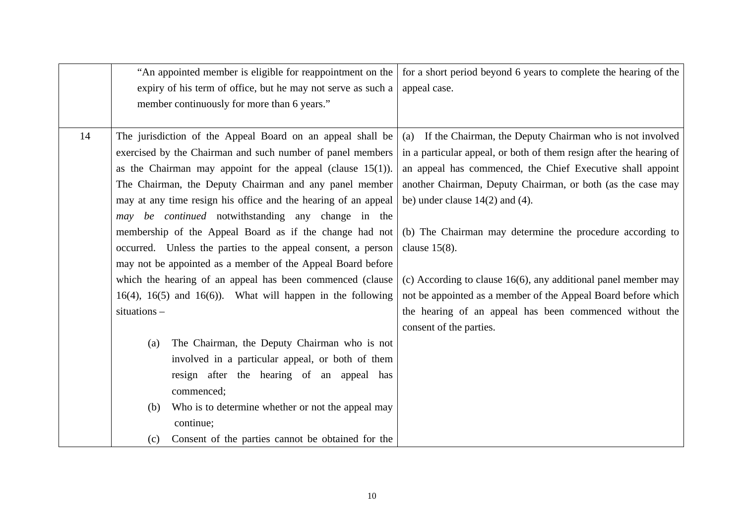|    | "An appointed member is eligible for reappointment on the          | for a short period beyond 6 years to complete the hearing of the    |
|----|--------------------------------------------------------------------|---------------------------------------------------------------------|
|    | expiry of his term of office, but he may not serve as such a       | appeal case.                                                        |
|    | member continuously for more than 6 years."                        |                                                                     |
|    |                                                                    |                                                                     |
| 14 | The jurisdiction of the Appeal Board on an appeal shall be         | (a) If the Chairman, the Deputy Chairman who is not involved        |
|    | exercised by the Chairman and such number of panel members         | in a particular appeal, or both of them resign after the hearing of |
|    | as the Chairman may appoint for the appeal (clause $15(1)$ ).      | an appeal has commenced, the Chief Executive shall appoint          |
|    | The Chairman, the Deputy Chairman and any panel member             | another Chairman, Deputy Chairman, or both (as the case may         |
|    | may at any time resign his office and the hearing of an appeal     | be) under clause $14(2)$ and $(4)$ .                                |
|    | may be continued notwithstanding any change in the                 |                                                                     |
|    | membership of the Appeal Board as if the change had not            | (b) The Chairman may determine the procedure according to           |
|    | occurred. Unless the parties to the appeal consent, a person       | clause $15(8)$ .                                                    |
|    | may not be appointed as a member of the Appeal Board before        |                                                                     |
|    | which the hearing of an appeal has been commenced (clause          | (c) According to clause $16(6)$ , any additional panel member may   |
|    | $16(4)$ , $16(5)$ and $16(6)$ ). What will happen in the following | not be appointed as a member of the Appeal Board before which       |
|    | situations $-$                                                     | the hearing of an appeal has been commenced without the             |
|    |                                                                    | consent of the parties.                                             |
|    | The Chairman, the Deputy Chairman who is not<br>(a)                |                                                                     |
|    | involved in a particular appeal, or both of them                   |                                                                     |
|    | resign after the hearing of an appeal has                          |                                                                     |
|    | commenced;                                                         |                                                                     |
|    | Who is to determine whether or not the appeal may<br>(b)           |                                                                     |
|    | continue;                                                          |                                                                     |
|    | Consent of the parties cannot be obtained for the<br>(c)           |                                                                     |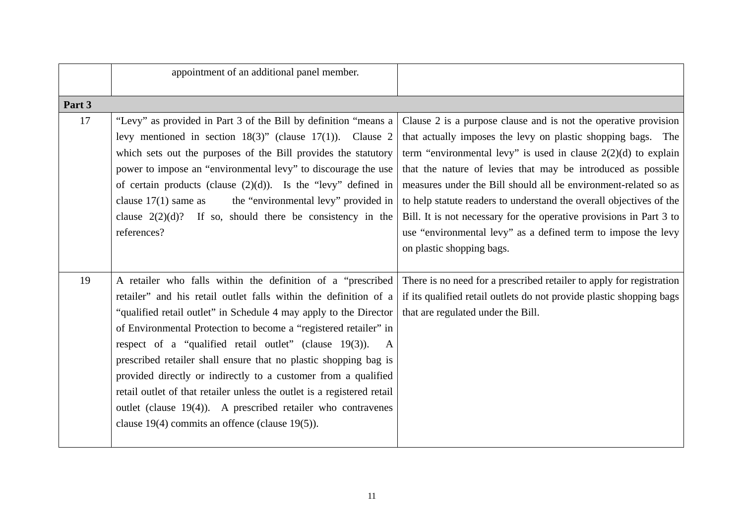|        | appointment of an additional panel member.                                                                                                                                                                                                                                                                                                                                                                                                                                                                                                                                                                                                                                                      |                                                                                                                                                                                                                                                                                                                                                                                                                                                                                                                                                                                    |
|--------|-------------------------------------------------------------------------------------------------------------------------------------------------------------------------------------------------------------------------------------------------------------------------------------------------------------------------------------------------------------------------------------------------------------------------------------------------------------------------------------------------------------------------------------------------------------------------------------------------------------------------------------------------------------------------------------------------|------------------------------------------------------------------------------------------------------------------------------------------------------------------------------------------------------------------------------------------------------------------------------------------------------------------------------------------------------------------------------------------------------------------------------------------------------------------------------------------------------------------------------------------------------------------------------------|
| Part 3 |                                                                                                                                                                                                                                                                                                                                                                                                                                                                                                                                                                                                                                                                                                 |                                                                                                                                                                                                                                                                                                                                                                                                                                                                                                                                                                                    |
| 17     | "Levy" as provided in Part 3 of the Bill by definition "means a<br>levy mentioned in section $18(3)$ " (clause $17(1)$ ). Clause 2<br>which sets out the purposes of the Bill provides the statutory<br>power to impose an "environmental levy" to discourage the use<br>of certain products (clause $(2)(d)$ ). Is the "levy" defined in<br>clause $17(1)$ same as<br>the "environmental levy" provided in<br>clause $2(2)(d)$ ? If so, should there be consistency in the<br>references?                                                                                                                                                                                                      | Clause 2 is a purpose clause and is not the operative provision<br>that actually imposes the levy on plastic shopping bags. The<br>term "environmental levy" is used in clause $2(2)(d)$ to explain<br>that the nature of levies that may be introduced as possible<br>measures under the Bill should all be environment-related so as<br>to help statute readers to understand the overall objectives of the<br>Bill. It is not necessary for the operative provisions in Part 3 to<br>use "environmental levy" as a defined term to impose the levy<br>on plastic shopping bags. |
| 19     | A retailer who falls within the definition of a "prescribed"<br>retailer" and his retail outlet falls within the definition of a<br>"qualified retail outlet" in Schedule 4 may apply to the Director<br>of Environmental Protection to become a "registered retailer" in<br>respect of a "qualified retail outlet" (clause $19(3)$ ).<br>$\mathbf{A}$<br>prescribed retailer shall ensure that no plastic shopping bag is<br>provided directly or indirectly to a customer from a qualified<br>retail outlet of that retailer unless the outlet is a registered retail<br>outlet (clause 19(4)). A prescribed retailer who contravenes<br>clause $19(4)$ commits an offence (clause $19(5)$ ). | There is no need for a prescribed retailer to apply for registration<br>if its qualified retail outlets do not provide plastic shopping bags<br>that are regulated under the Bill.                                                                                                                                                                                                                                                                                                                                                                                                 |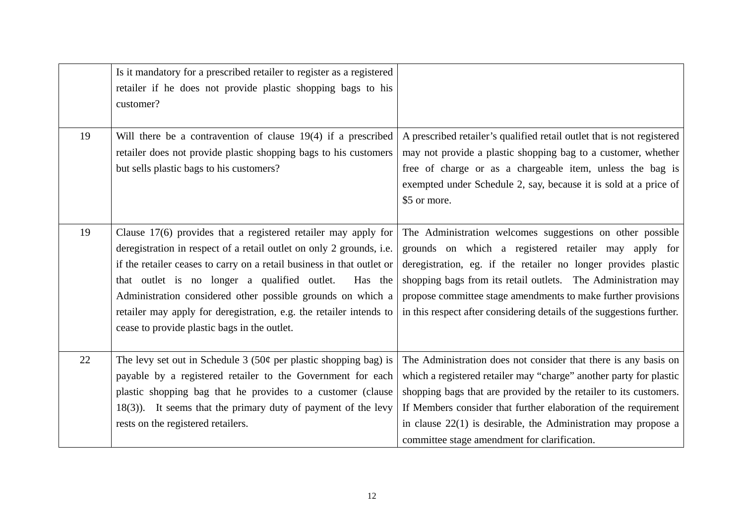|    | Is it mandatory for a prescribed retailer to register as a registered<br>retailer if he does not provide plastic shopping bags to his<br>customer?                                                                                                                                                                                                                                                                                                                  |                                                                                                                                                                                                                                                                                                                                                                                                   |
|----|---------------------------------------------------------------------------------------------------------------------------------------------------------------------------------------------------------------------------------------------------------------------------------------------------------------------------------------------------------------------------------------------------------------------------------------------------------------------|---------------------------------------------------------------------------------------------------------------------------------------------------------------------------------------------------------------------------------------------------------------------------------------------------------------------------------------------------------------------------------------------------|
| 19 | Will there be a contravention of clause 19(4) if a prescribed<br>retailer does not provide plastic shopping bags to his customers<br>but sells plastic bags to his customers?                                                                                                                                                                                                                                                                                       | A prescribed retailer's qualified retail outlet that is not registered<br>may not provide a plastic shopping bag to a customer, whether<br>free of charge or as a chargeable item, unless the bag is<br>exempted under Schedule 2, say, because it is sold at a price of<br>\$5 or more.                                                                                                          |
| 19 | Clause $17(6)$ provides that a registered retailer may apply for<br>deregistration in respect of a retail outlet on only 2 grounds, i.e.<br>if the retailer ceases to carry on a retail business in that outlet or<br>that outlet is no longer a qualified outlet.<br>Has the<br>Administration considered other possible grounds on which a<br>retailer may apply for deregistration, e.g. the retailer intends to<br>cease to provide plastic bags in the outlet. | The Administration welcomes suggestions on other possible<br>grounds on which a registered retailer may apply for<br>deregistration, eg. if the retailer no longer provides plastic<br>shopping bags from its retail outlets. The Administration may<br>propose committee stage amendments to make further provisions<br>in this respect after considering details of the suggestions further.    |
| 22 | The levy set out in Schedule $3(50¢$ per plastic shopping bag) is<br>payable by a registered retailer to the Government for each<br>plastic shopping bag that he provides to a customer (clause<br>$18(3)$ ). It seems that the primary duty of payment of the levy<br>rests on the registered retailers.                                                                                                                                                           | The Administration does not consider that there is any basis on<br>which a registered retailer may "charge" another party for plastic<br>shopping bags that are provided by the retailer to its customers.<br>If Members consider that further elaboration of the requirement<br>in clause $22(1)$ is desirable, the Administration may propose a<br>committee stage amendment for clarification. |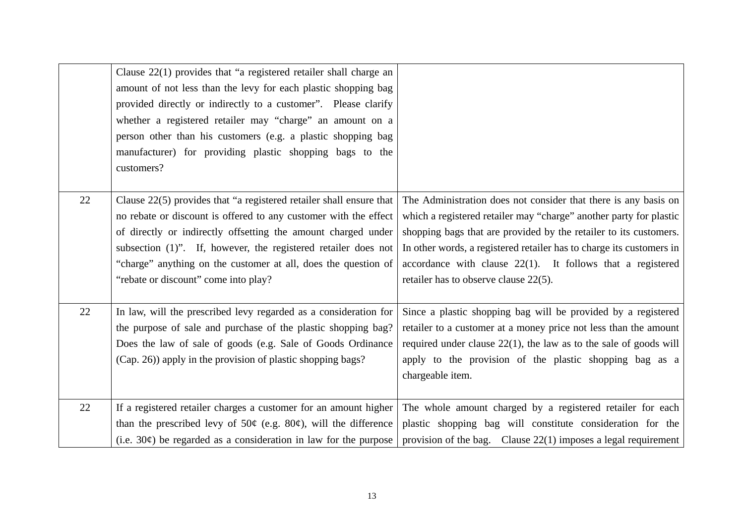|    | Clause 22(1) provides that "a registered retailer shall charge an<br>amount of not less than the levy for each plastic shopping bag<br>provided directly or indirectly to a customer". Please clarify<br>whether a registered retailer may "charge" an amount on a<br>person other than his customers (e.g. a plastic shopping bag<br>manufacturer) for providing plastic shopping bags to the<br>customers? |                                                                                                                                                                                                                                                                                                                                                                                              |
|----|--------------------------------------------------------------------------------------------------------------------------------------------------------------------------------------------------------------------------------------------------------------------------------------------------------------------------------------------------------------------------------------------------------------|----------------------------------------------------------------------------------------------------------------------------------------------------------------------------------------------------------------------------------------------------------------------------------------------------------------------------------------------------------------------------------------------|
| 22 | Clause 22(5) provides that "a registered retailer shall ensure that<br>no rebate or discount is offered to any customer with the effect<br>of directly or indirectly offsetting the amount charged under<br>subsection (1)". If, however, the registered retailer does not<br>"charge" anything on the customer at all, does the question of<br>"rebate or discount" come into play?                         | The Administration does not consider that there is any basis on<br>which a registered retailer may "charge" another party for plastic<br>shopping bags that are provided by the retailer to its customers.<br>In other words, a registered retailer has to charge its customers in<br>accordance with clause $22(1)$ . It follows that a registered<br>retailer has to observe clause 22(5). |
| 22 | In law, will the prescribed levy regarded as a consideration for<br>the purpose of sale and purchase of the plastic shopping bag?<br>Does the law of sale of goods (e.g. Sale of Goods Ordinance<br>(Cap. 26)) apply in the provision of plastic shopping bags?                                                                                                                                              | Since a plastic shopping bag will be provided by a registered<br>retailer to a customer at a money price not less than the amount<br>required under clause $22(1)$ , the law as to the sale of goods will<br>apply to the provision of the plastic shopping bag as a<br>chargeable item.                                                                                                     |
| 22 | If a registered retailer charges a customer for an amount higher<br>than the prescribed levy of $50¢$ (e.g. $80¢$ ), will the difference<br>(i.e. $30¢$ ) be regarded as a consideration in law for the purpose                                                                                                                                                                                              | The whole amount charged by a registered retailer for each<br>plastic shopping bag will constitute consideration for the<br>provision of the bag. Clause $22(1)$ imposes a legal requirement                                                                                                                                                                                                 |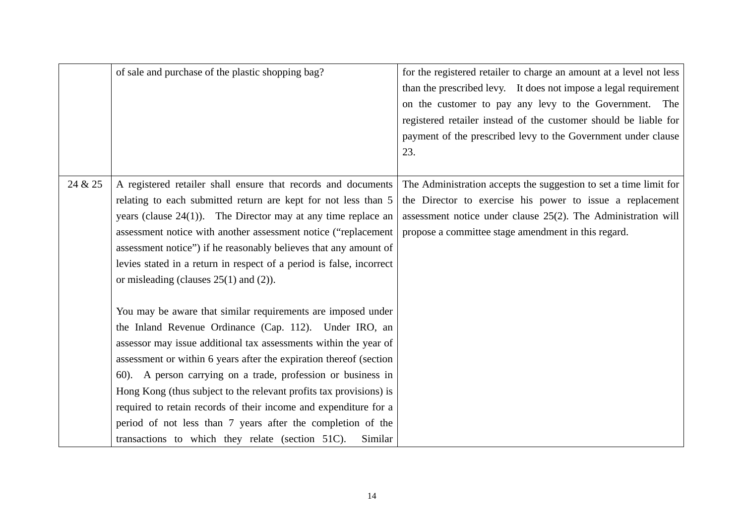|         | of sale and purchase of the plastic shopping bag?                                                                                                                                                                                                                                                                                                                                                                                                                                                                                                                                                        | for the registered retailer to charge an amount at a level not less<br>than the prescribed levy. It does not impose a legal requirement<br>on the customer to pay any levy to the Government. The<br>registered retailer instead of the customer should be liable for<br>payment of the prescribed levy to the Government under clause<br>23. |
|---------|----------------------------------------------------------------------------------------------------------------------------------------------------------------------------------------------------------------------------------------------------------------------------------------------------------------------------------------------------------------------------------------------------------------------------------------------------------------------------------------------------------------------------------------------------------------------------------------------------------|-----------------------------------------------------------------------------------------------------------------------------------------------------------------------------------------------------------------------------------------------------------------------------------------------------------------------------------------------|
| 24 & 25 | A registered retailer shall ensure that records and documents<br>relating to each submitted return are kept for not less than 5<br>years (clause $24(1)$ ). The Director may at any time replace an<br>assessment notice with another assessment notice ("replacement<br>assessment notice") if he reasonably believes that any amount of<br>levies stated in a return in respect of a period is false, incorrect<br>or misleading (clauses $25(1)$ and (2)).                                                                                                                                            | The Administration accepts the suggestion to set a time limit for<br>the Director to exercise his power to issue a replacement<br>assessment notice under clause 25(2). The Administration will<br>propose a committee stage amendment in this regard.                                                                                        |
|         | You may be aware that similar requirements are imposed under<br>the Inland Revenue Ordinance (Cap. 112). Under IRO, an<br>assessor may issue additional tax assessments within the year of<br>assessment or within 6 years after the expiration thereof (section<br>60). A person carrying on a trade, profession or business in<br>Hong Kong (thus subject to the relevant profits tax provisions) is<br>required to retain records of their income and expenditure for a<br>period of not less than 7 years after the completion of the<br>transactions to which they relate (section 51C).<br>Similar |                                                                                                                                                                                                                                                                                                                                               |